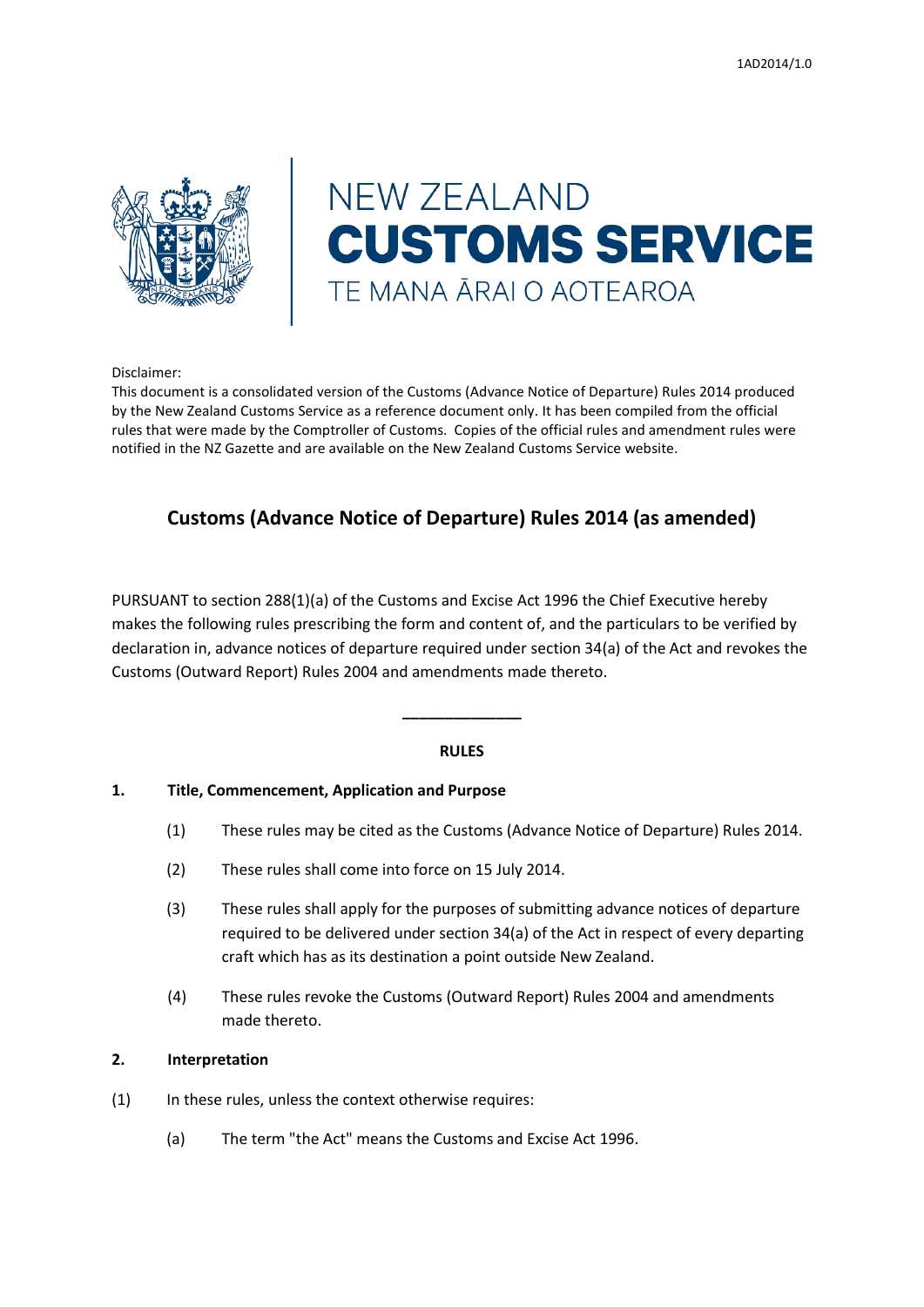

# **NEW ZEALAND CUSTOMS SERVICE** TE MANA ĀRAI O AOTEAROA

Disclaimer:

This document is a consolidated version of the Customs (Advance Notice of Departure) Rules 2014 produced by the New Zealand Customs Service as a reference document only. It has been compiled from the official rules that were made by the Comptroller of Customs. Copies of the official rules and amendment rules were notified in the NZ Gazette and are available on the New Zealand Customs Service website.

# **Customs (Advance Notice of Departure) Rules 2014 (as amended)**

PURSUANT to section 288(1)(a) of the Customs and Excise Act 1996 the Chief Executive hereby makes the following rules prescribing the form and content of, and the particulars to be verified by declaration in, advance notices of departure required under section 34(a) of the Act and revokes the Customs (Outward Report) Rules 2004 and amendments made thereto.

#### **RULES**

**\_\_\_\_\_\_\_\_\_\_\_\_\_\_**

#### **1. Title, Commencement, Application and Purpose**

- (1) These rules may be cited as the Customs (Advance Notice of Departure) Rules 2014.
- (2) These rules shall come into force on 15 July 2014.
- (3) These rules shall apply for the purposes of submitting advance notices of departure required to be delivered under section 34(a) of the Act in respect of every departing craft which has as its destination a point outside New Zealand.
- (4) These rules revoke the Customs (Outward Report) Rules 2004 and amendments made thereto.

#### **2. Interpretation**

- (1) In these rules, unless the context otherwise requires:
	- (a) The term "the Act" means the Customs and Excise Act 1996.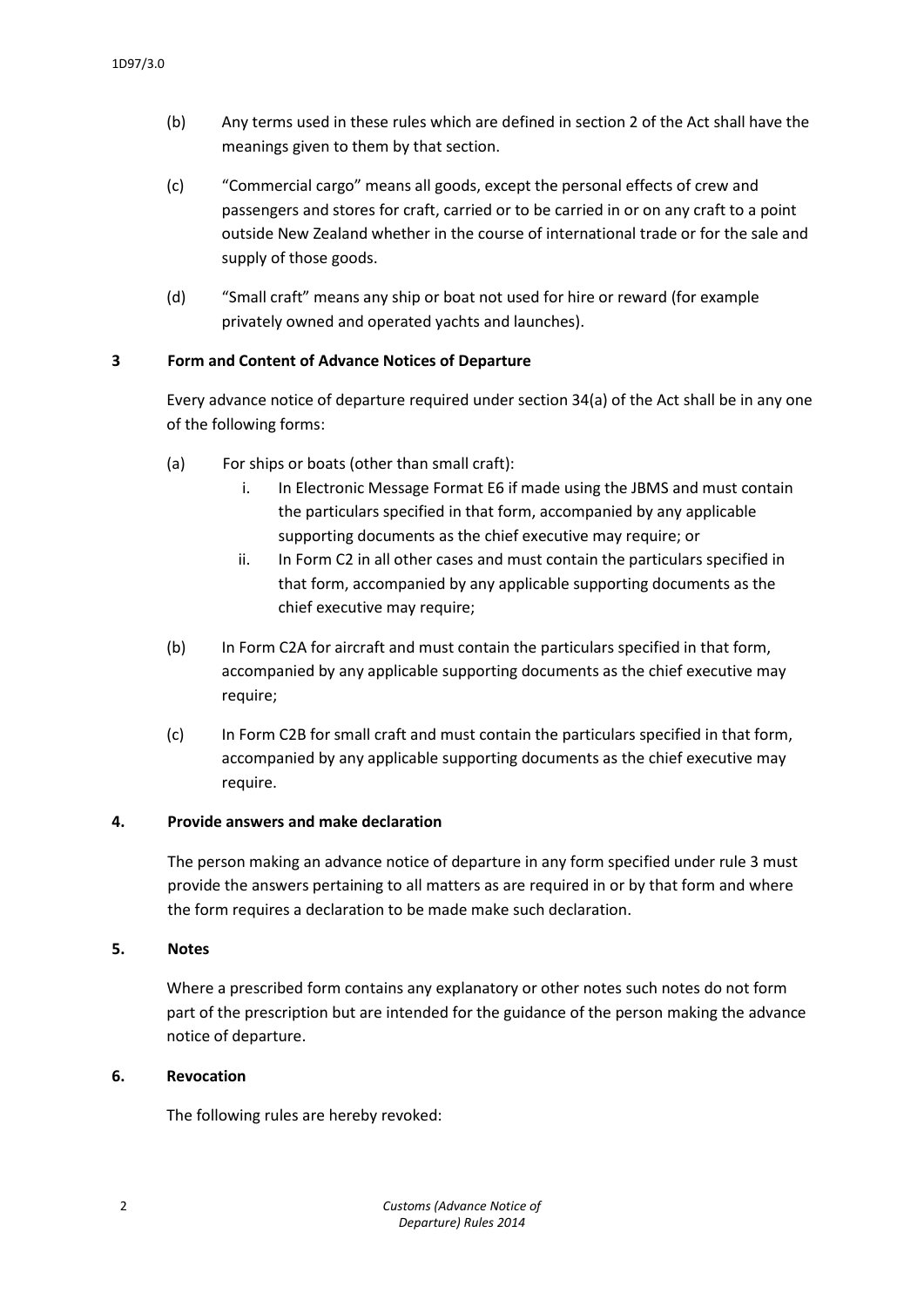- (b) Any terms used in these rules which are defined in section 2 of the Act shall have the meanings given to them by that section.
- (c) "Commercial cargo" means all goods, except the personal effects of crew and passengers and stores for craft, carried or to be carried in or on any craft to a point outside New Zealand whether in the course of international trade or for the sale and supply of those goods.
- (d) "Small craft" means any ship or boat not used for hire or reward (for example privately owned and operated yachts and launches).

## **3 Form and Content of Advance Notices of Departure**

Every advance notice of departure required under section 34(a) of the Act shall be in any one of the following forms:

- (a) For ships or boats (other than small craft):
	- i. In Electronic Message Format E6 if made using the JBMS and must contain the particulars specified in that form, accompanied by any applicable supporting documents as the chief executive may require; or
	- ii. In Form C2 in all other cases and must contain the particulars specified in that form, accompanied by any applicable supporting documents as the chief executive may require;
- (b) In Form C2A for aircraft and must contain the particulars specified in that form, accompanied by any applicable supporting documents as the chief executive may require;
- (c) In Form C2B for small craft and must contain the particulars specified in that form, accompanied by any applicable supporting documents as the chief executive may require.

#### **4. Provide answers and make declaration**

The person making an advance notice of departure in any form specified under rule 3 must provide the answers pertaining to all matters as are required in or by that form and where the form requires a declaration to be made make such declaration.

## **5. Notes**

Where a prescribed form contains any explanatory or other notes such notes do not form part of the prescription but are intended for the guidance of the person making the advance notice of departure.

#### **6. Revocation**

The following rules are hereby revoked: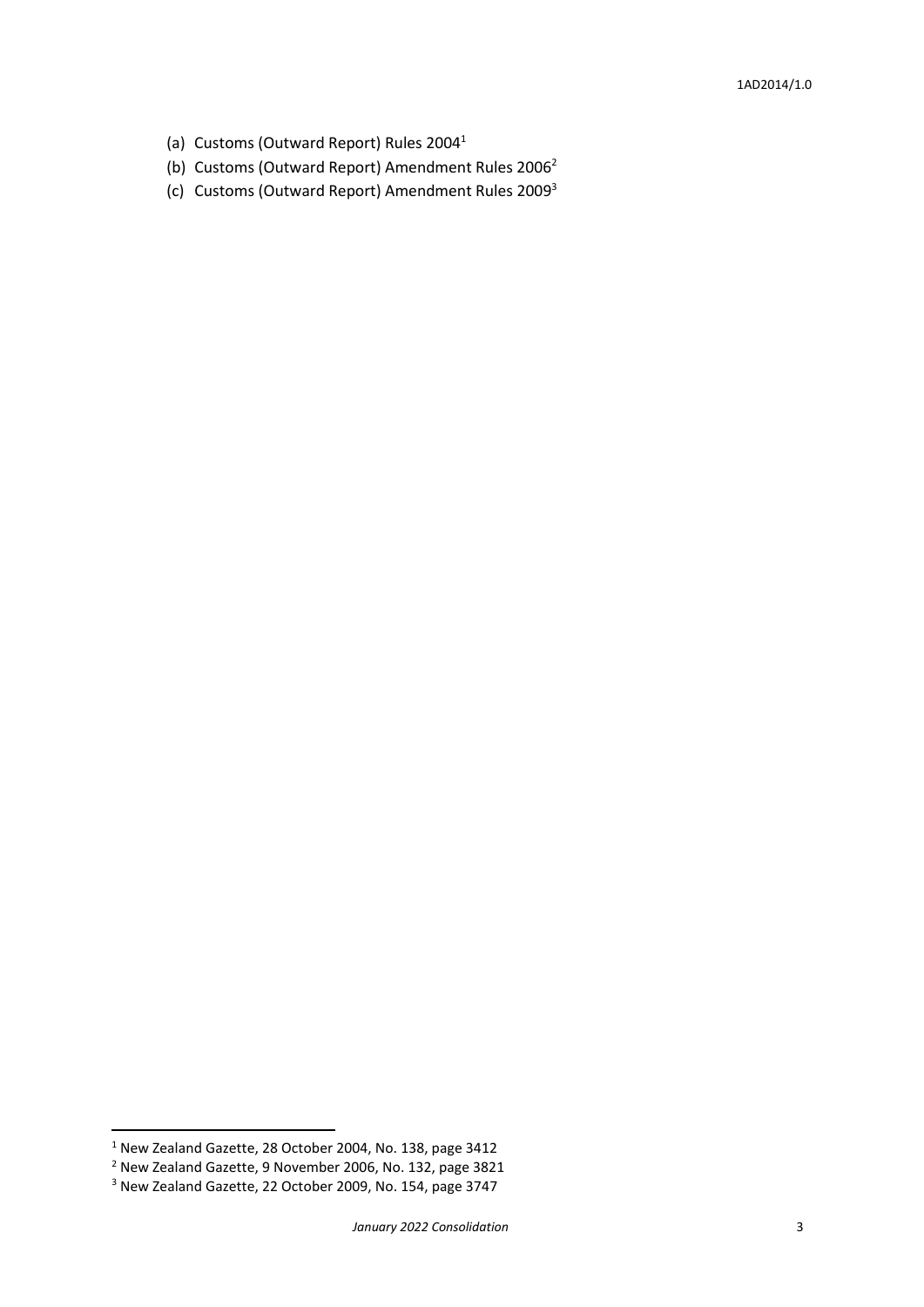- (a) Customs (Outward Report) Rules 2004<sup>1</sup>
- (b) Customs (Outward Report) Amendment Rules 2006<sup>2</sup>
- (c) Customs (Outward Report) Amendment Rules 2009<sup>3</sup>

**.** 

<sup>1</sup> New Zealand Gazette, 28 October 2004, No. 138, page 3412

<sup>2</sup> New Zealand Gazette, 9 November 2006, No. 132, page 3821

<sup>3</sup> New Zealand Gazette, 22 October 2009, No. 154, page 3747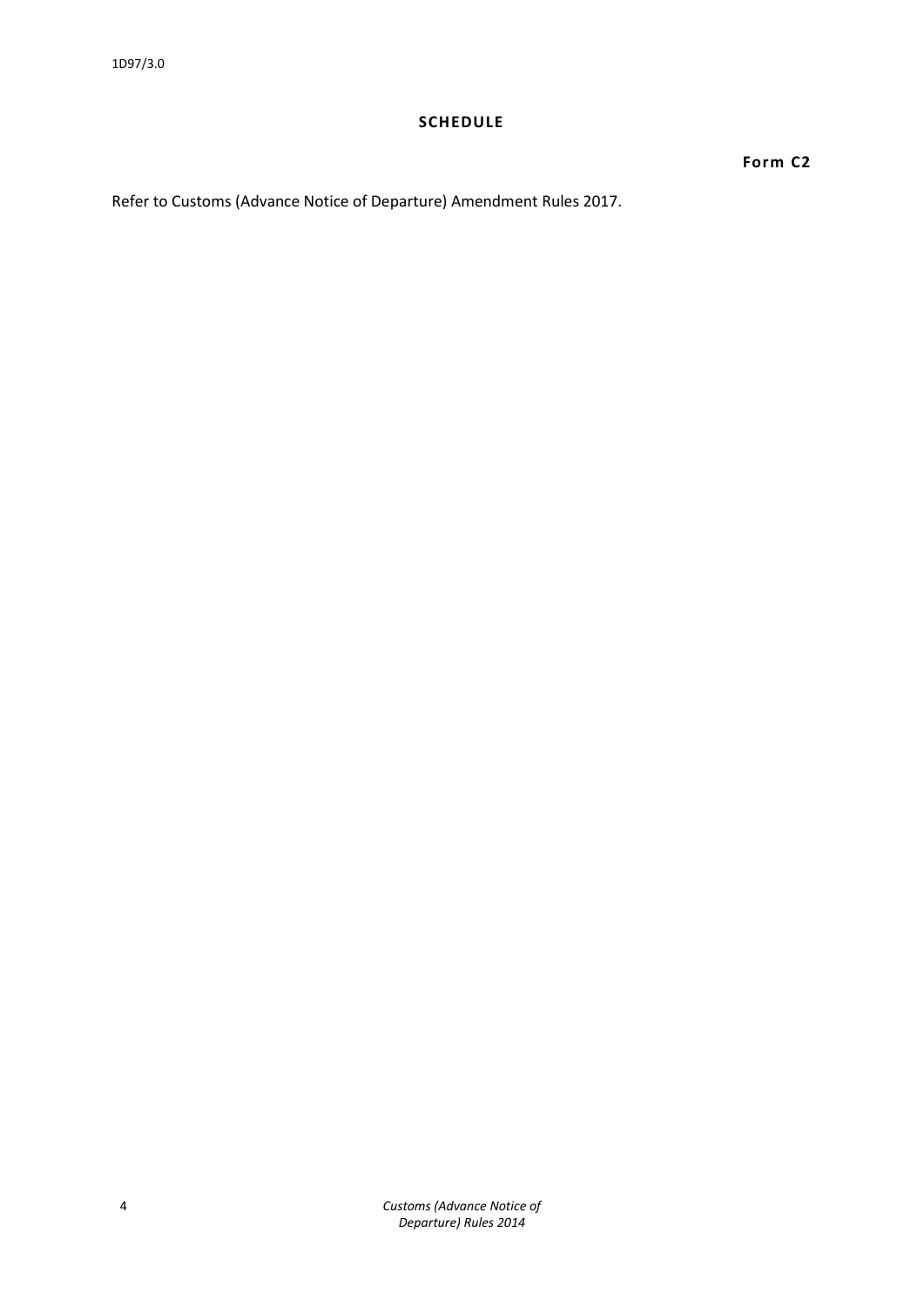#### **SCHEDULE**

**Form C2**

Refer to Customs (Advance Notice of Departure) Amendment Rules 2017.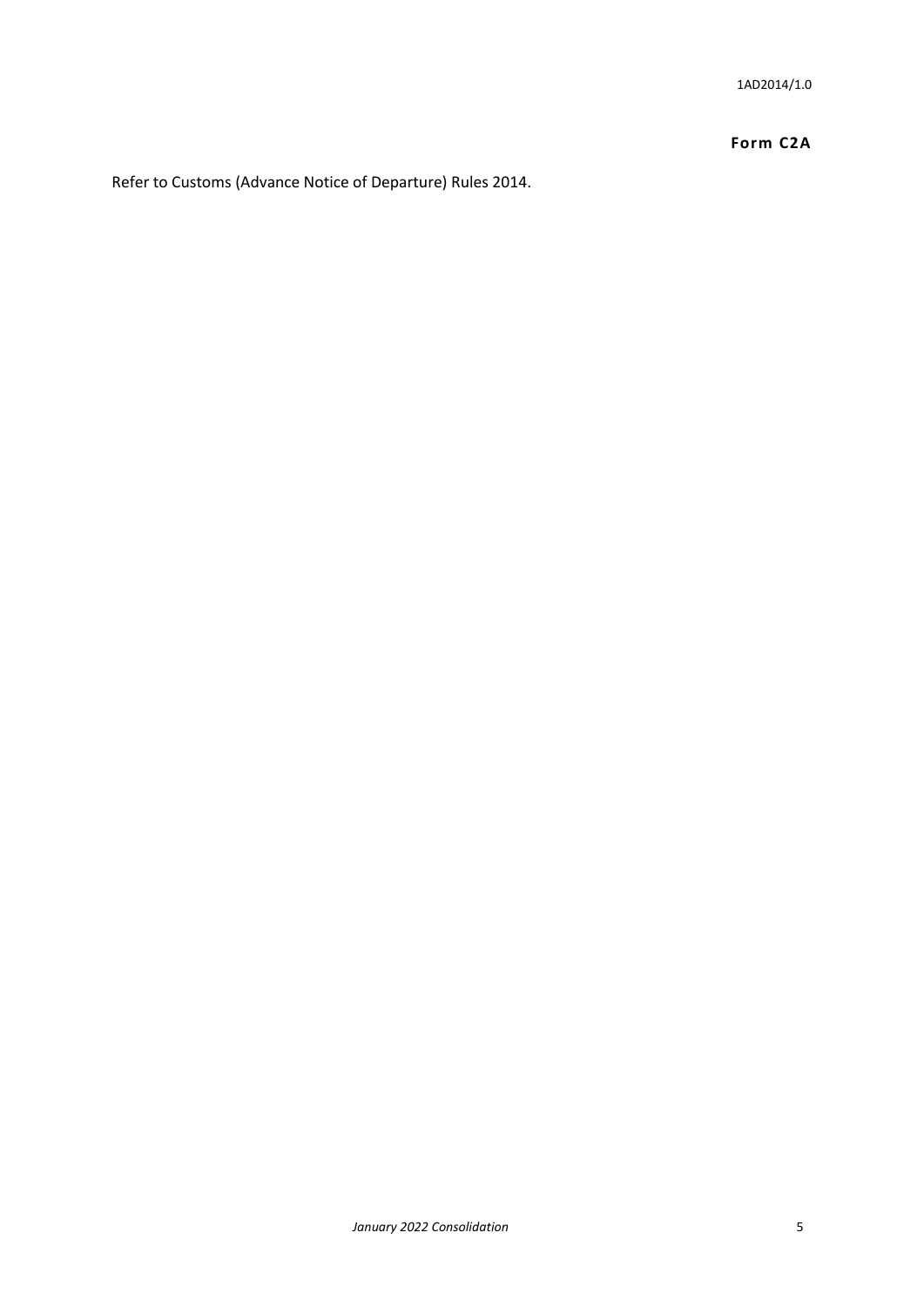## **Form C2A**

Refer to Customs (Advance Notice of Departure) Rules 2014.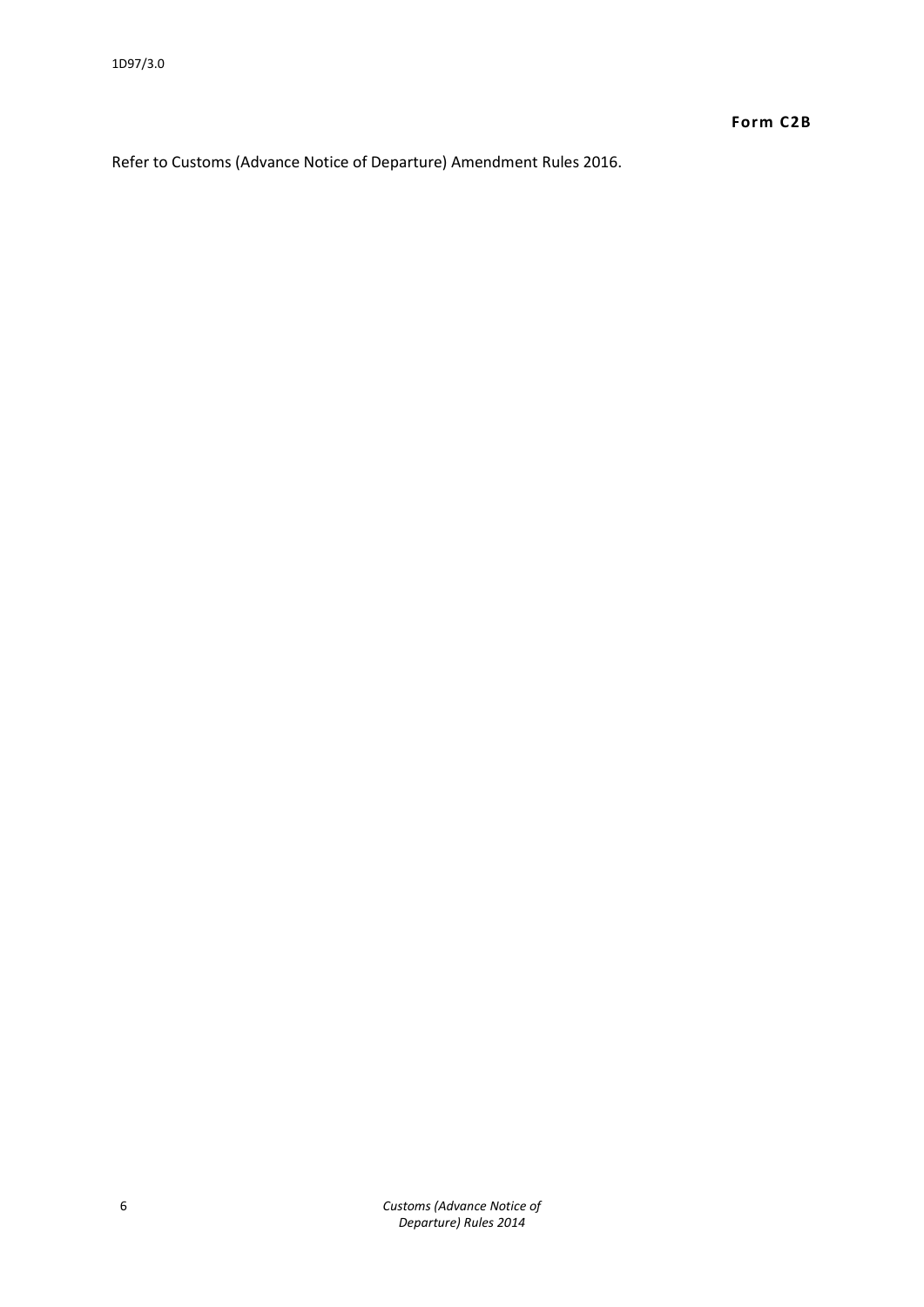Refer to Customs (Advance Notice of Departure) Amendment Rules 2016.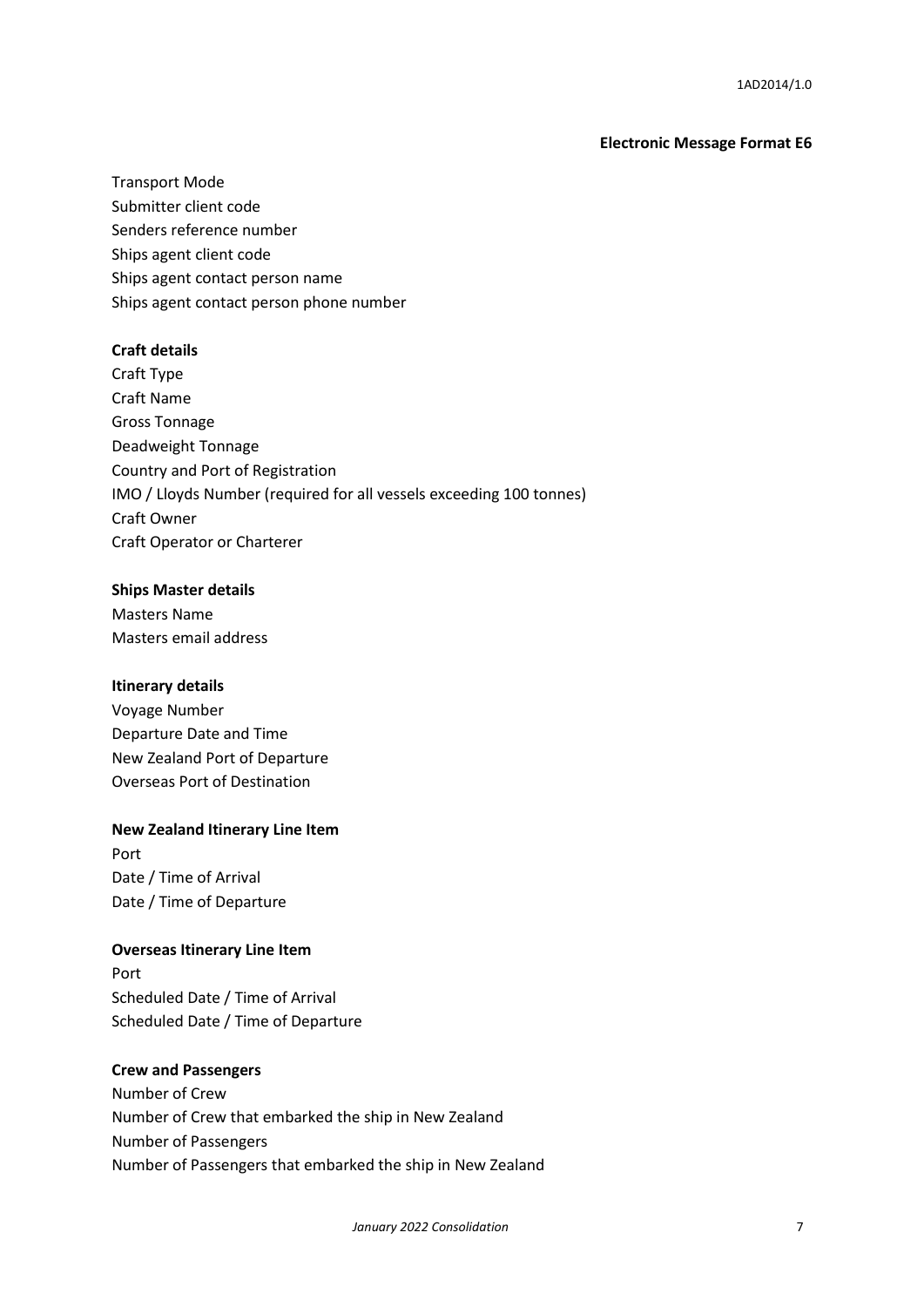#### **Electronic Message Format E6**

Transport Mode Submitter client code Senders reference number Ships agent client code Ships agent contact person name Ships agent contact person phone number

#### **Craft details**

Craft Type Craft Name Gross Tonnage Deadweight Tonnage Country and Port of Registration IMO / Lloyds Number (required for all vessels exceeding 100 tonnes) Craft Owner Craft Operator or Charterer

#### **Ships Master details**

Masters Name Masters email address

#### **Itinerary details**

Voyage Number Departure Date and Time New Zealand Port of Departure Overseas Port of Destination

#### **New Zealand Itinerary Line Item**

Port Date / Time of Arrival Date / Time of Departure

#### **Overseas Itinerary Line Item**

Port Scheduled Date / Time of Arrival Scheduled Date / Time of Departure

#### **Crew and Passengers**

Number of Crew Number of Crew that embarked the ship in New Zealand Number of Passengers Number of Passengers that embarked the ship in New Zealand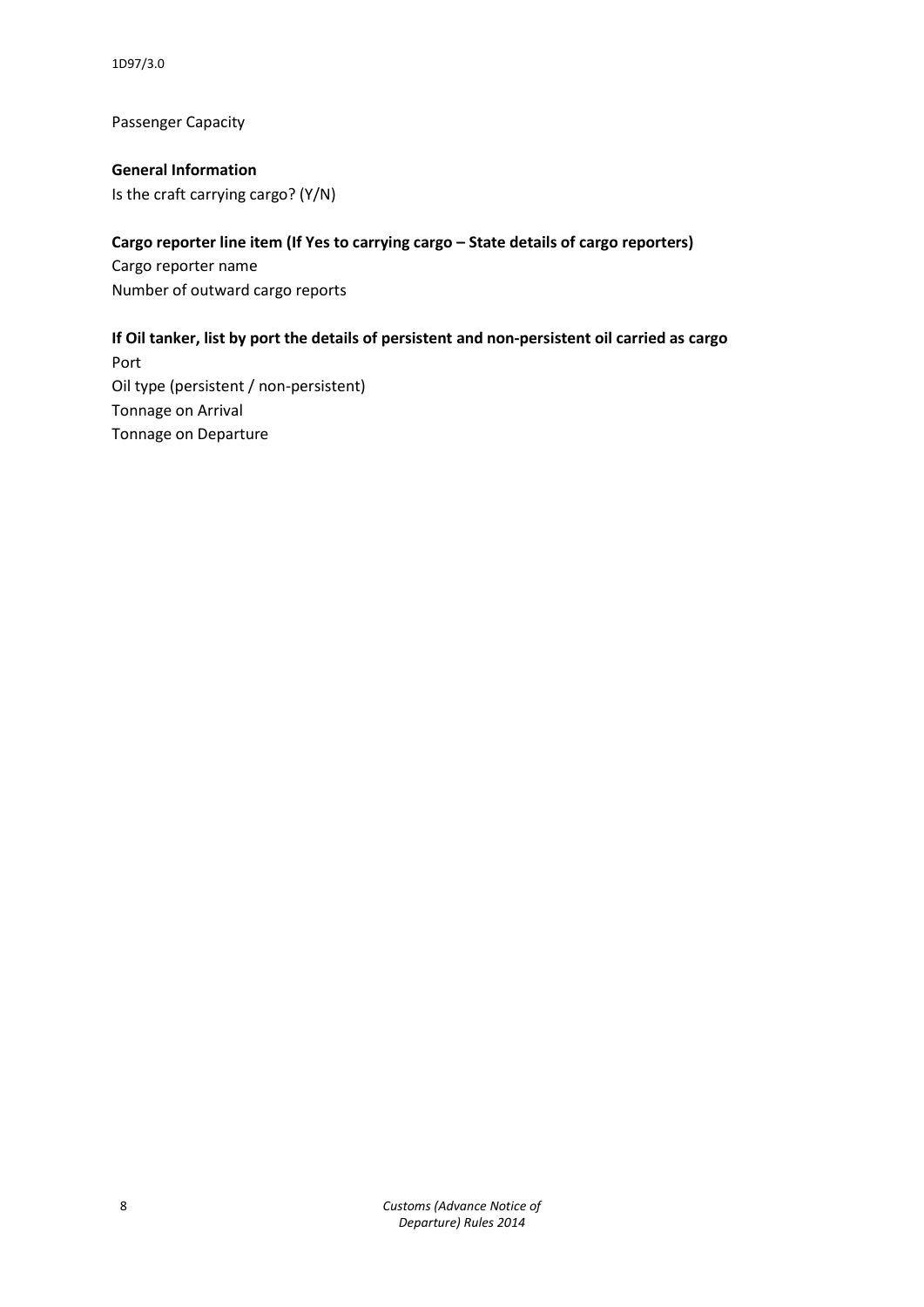1D97/3.0

Passenger Capacity

**General Information** Is the craft carrying cargo? (Y/N)

## **Cargo reporter line item (If Yes to carrying cargo – State details of cargo reporters)**

Cargo reporter name Number of outward cargo reports

## **If Oil tanker, list by port the details of persistent and non-persistent oil carried as cargo**

Port Oil type (persistent / non-persistent) Tonnage on Arrival Tonnage on Departure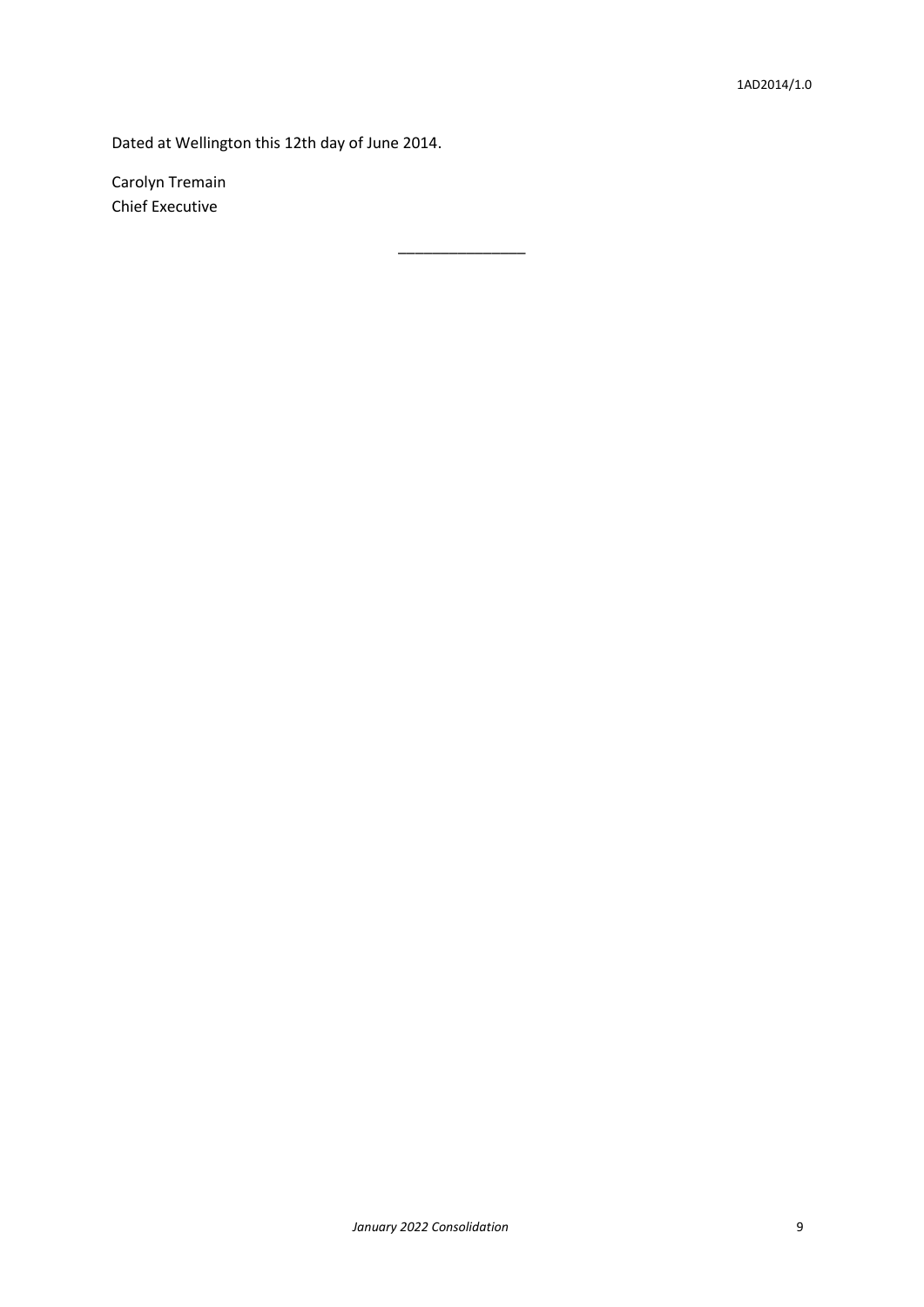Dated at Wellington this 12th day of June 2014.

\_\_\_\_\_\_\_\_\_\_\_\_\_\_\_

Carolyn Tremain Chief Executive